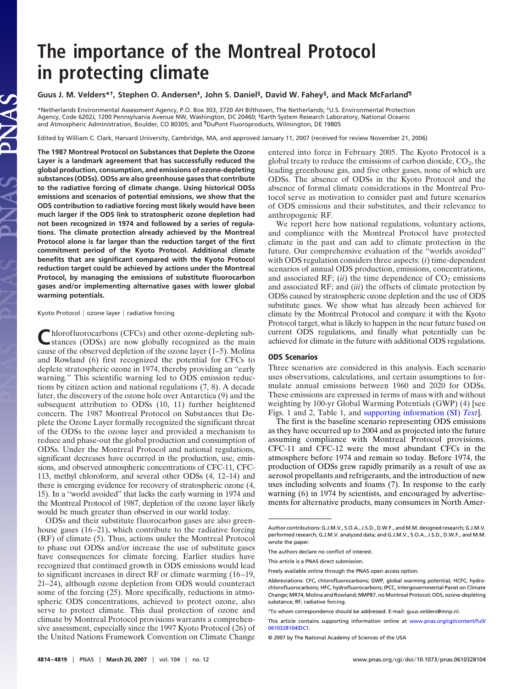# **The importance of the Montreal Protocol in protecting climate**

# **Guus J. M. Velders\*†, Stephen O. Andersen‡, John S. Daniel§, David W. Fahey§, and Mack McFarland¶**

\*Netherlands Environmental Assessment Agency, P.O. Box 303, 3720 AH Bilthoven, The Netherlands; ‡U.S. Environmental Protection Agency, Code 6202J, 1200 Pennsylvania Avenue NW, Washington, DC 20460; §Earth System Research Laboratory, National Oceanic and Atmospheric Administration, Boulder, CO 80305; and ¶DuPont Fluoroproducts, Wilmington, DE 19805

Edited by William C. Clark, Harvard University, Cambridge, MA, and approved January 11, 2007 (received for review November 21, 2006)

**The 1987 Montreal Protocol on Substances that Deplete the Ozone Layer is a landmark agreement that has successfully reduced the global production, consumption, and emissions of ozone-depleting substances (ODSs). ODSs are also greenhouse gases that contribute to the radiative forcing of climate change. Using historical ODSs emissions and scenarios of potential emissions, we show that the ODS contribution to radiative forcing most likely would have been much larger if the ODS link to stratospheric ozone depletion had not been recognized in 1974 and followed by a series of regulations. The climate protection already achieved by the Montreal Protocol alone is far larger than the reduction target of the first commitment period of the Kyoto Protocol. Additional climate benefits that are significant compared with the Kyoto Protocol reduction target could be achieved by actions under the Montreal Protocol, by managing the emissions of substitute fluorocarbon gases and/or implementing alternative gases with lower global warming potentials.**

Kyoto Protocol | ozone layer | radiative forcing

Chlorofluorocarbons (CFCs) and other ozone-depleting sub-<br>stances (ODSs) are now globally recognized as the main cause of the observed depletion of the ozone layer (1–5). Molina and Rowland (6) first recognized the potential for CFCs to deplete stratospheric ozone in 1974, thereby providing an ''early warning.'' This scientific warning led to ODS emission reductions by citizen action and national regulations (7, 8). A decade later, the discovery of the ozone hole over Antarctica (9) and the subsequent attribution to ODSs (10, 11) further heightened concern. The 1987 Montreal Protocol on Substances that Deplete the Ozone Layer formally recognized the significant threat of the ODSs to the ozone layer and provided a mechanism to reduce and phase-out the global production and consumption of ODSs. Under the Montreal Protocol and national regulations, significant decreases have occurred in the production, use, emissions, and observed atmospheric concentrations of CFC-11, CFC-113, methyl chloroform, and several other ODSs (4, 12–14) and there is emerging evidence for recovery of stratospheric ozone (4, 15). In a ''world avoided'' that lacks the early warning in 1974 and the Montreal Protocol of 1987, depletion of the ozone layer likely would be much greater than observed in our world today.

ODSs and their substitute fluorocarbon gases are also greenhouse gases (16–21), which contribute to the radiative forcing (RF) of climate (5). Thus, actions under the Montreal Protocol to phase out ODSs and/or increase the use of substitute gases have consequences for climate forcing. Earlier studies have recognized that continued growth in ODS emissions would lead to significant increases in direct RF or climate warming (16–19, 21–24), although ozone depletion from ODS would counteract some of the forcing (25). More specifically, reductions in atmospheric ODS concentrations, achieved to protect ozone, also serve to protect climate. This dual protection of ozone and climate by Montreal Protocol provisions warrants a comprehensive assessment, especially since the 1997 Kyoto Protocol (26) of the United Nations Framework Convention on Climate Change

entered into force in February 2005. The Kyoto Protocol is a global treaty to reduce the emissions of carbon dioxide,  $CO<sub>2</sub>$ , the leading greenhouse gas, and five other gases, none of which are ODSs. The absence of ODSs in the Kyoto Protocol and the absence of formal climate considerations in the Montreal Protocol serve as motivation to consider past and future scenarios of ODS emissions and their substitutes, and their relevance to anthropogenic RF.

We report here how national regulations, voluntary actions, and compliance with the Montreal Protocol have protected climate in the past and can add to climate protection in the future. Our comprehensive evaluation of the ''worlds avoided'' with ODS regulation considers three aspects: (*i*) time-dependent scenarios of annual ODS production, emissions, concentrations, and associated RF;  $(ii)$  the time dependence of  $CO<sub>2</sub>$  emissions and associated RF; and (*iii*) the offsets of climate protection by ODSs caused by stratospheric ozone depletion and the use of ODS substitute gases. We show what has already been achieved for climate by the Montreal Protocol and compare it with the Kyoto Protocol target, what is likely to happen in the near future based on current ODS regulations, and finally what potentially can be achieved for climate in the future with additional ODS regulations.

## **ODS Scenarios**

Three scenarios are considered in this analysis. Each scenario uses observations, calculations, and certain assumptions to formulate annual emissions between 1960 and 2020 for ODSs. These emissions are expressed in terms of mass with and without weighting by 100-yr Global Warming Potentials (GWP) (4) [see Figs. 1 and 2, Table 1, and [supporting information \(SI\)](http://www.pnas.org/cgi/content/full/0610328104/DC1) *Text*].

The first is the baseline scenario representing ODS emissions as they have occurred up to 2004 and as projected into the future assuming compliance with Montreal Protocol provisions. CFC-11 and CFC-12 were the most abundant CFCs in the atmosphere before 1974 and remain so today. Before 1974, the production of ODSs grew rapidly primarily as a result of use as aerosol propellants and refrigerants, and the introduction of new uses including solvents and foams (7). In response to the early warning (6) in 1974 by scientists, and encouraged by advertisements for alternative products, many consumers in North Amer-

Author contributions: G.J.M.V., S.O.A., J.S.D., D.W.F., and M.M. designed research; G.J.M.V. performed research; G.J.M.V. analyzed data; and G.J.M.V., S.O.A., J.S.D., D.W.F., and M.M. wrote the paper.

The authors declare no conflict of interest.

This article is a PNAS direct submission.

Freely available online through the PNAS open access option.

Abbreviations: CFC, chlorofluorocarbons; GWP, global warming potential; HCFC, hydrochlorofluorocarbons; HFC, hydrofluorocarbons; IPCC, Intergovernmental Panel on Climate Change; MR74, Molina and Rowland; NMP87, no Montreal Protocol; ODS, ozone-depleting substance; RF, radiative forcing.

<sup>†</sup>To whom correspondence should be addressed. E-mail: guus.velders@mnp.nl.

This article contains supporting information online at [www.pnas.org/cgi/content/full/](http://www.pnas.org/cgi/content/full/0610328104/DC1) [0610328104/DC1.](http://www.pnas.org/cgi/content/full/0610328104/DC1)

<sup>© 2007</sup> by The National Academy of Sciences of the USA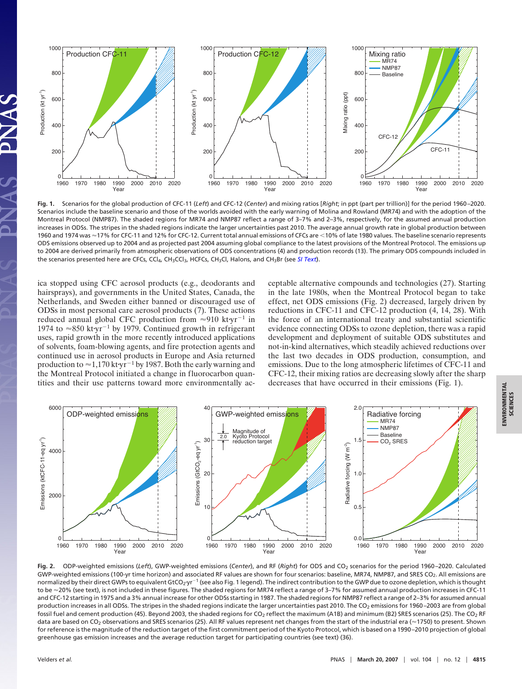

**Fig. 1.** Scenarios for the global production of CFC-11 (*Left*) and CFC-12 (*Center*) and mixing ratios [*Right*; in ppt (part per trillion)] for the period 1960–2020. Scenarios include the baseline scenario and those of the worlds avoided with the early warning of Molina and Rowland (MR74) and with the adoption of the Montreal Protocol (NMP87). The shaded regions for MR74 and NMP87 reflect a range of 3–7% and 2–3%, respectively, for the assumed annual production increases in ODSs. The stripes in the shaded regions indicate the larger uncertainties past 2010. The average annual growth rate in global production between 1960 and 1974 was ≈17% for CFC-11 and 12% for CFC-12. Current total annual emissions of CFCs are <10% of late 1980 values. The baseline scenario represents ODS emissions observed up to 2004 and as projected past 2004 assuming global compliance to the latest provisions of the Montreal Protocol. The emissions up to 2004 are derived primarily from atmospheric observations of ODS concentrations (4) and production records (13). The primary ODS compounds included in the scenarios presented here are CFCs, CCl4, CH3CCl3, HCFCs, CH3Cl, Halons, and CH3Br (see *[SI Text](http://www.pnas.org/cgi/content/full/0610328104/DC1)*).

ica stopped using CFC aerosol products (e.g., deodorants and hairsprays), and governments in the United States, Canada, the Netherlands, and Sweden either banned or discouraged use of ODSs in most personal care aerosol products (7). These actions reduced annual global CFC production from  $\approx 910$  kt·yr<sup>-1</sup> in 1974 to  $\approx$ 850 kt·yr<sup>-1</sup> by 1979. Continued growth in refrigerant uses, rapid growth in the more recently introduced applications of solvents, foam-blowing agents, and fire protection agents and continued use in aerosol products in Europe and Asia returned production to  $\approx$  1,170 kt·yr<sup>-1</sup> by 1987. Both the early warning and the Montreal Protocol initiated a change in fluorocarbon quantities and their use patterns toward more environmentally acceptable alternative compounds and technologies (27). Starting in the late 1980s, when the Montreal Protocol began to take effect, net ODS emissions (Fig. 2) decreased, largely driven by reductions in CFC-11 and CFC-12 production (4, 14, 28). With the force of an international treaty and substantial scientific evidence connecting ODSs to ozone depletion, there was a rapid development and deployment of suitable ODS substitutes and not-in-kind alternatives, which steadily achieved reductions over the last two decades in ODS production, consumption, and emissions. Due to the long atmospheric lifetimes of CFC-11 and CFC-12, their mixing ratios are decreasing slowly after the sharp decreases that have occurred in their emissions (Fig. 1).



Fig. 2. ODP-weighted emissions (Left), GWP-weighted emissions (Center), and RF (Right) for ODS and CO<sub>2</sub> scenarios for the period 1960-2020. Calculated GWP-weighted emissions (100-yr time horizon) and associated RF values are shown for four scenarios: baseline, MR74, NMP87, and SRES CO<sub>2</sub>. All emissions are normalized by their direct GWPs to equivalent GtCO<sub>2</sub>·yr<sup>-1</sup> (see also Fig. 1 legend). The indirect contribution to the GWP due to ozone depletion, which is thought to be ≈20% (see text), is not included in these figures. The shaded regions for MR74 reflect a range of 3-7% for assumed annual production increases in CFC-11 and CFC-12 starting in 1975 and a 3% annual increase for other ODSs starting in 1987. The shaded regions for NMP87 reflect a range of 2–3% for assumed annual production increases in all ODSs. The stripes in the shaded regions indicate the larger uncertainties past 2010. The CO<sub>2</sub> emissions for 1960–2003 are from global fossil fuel and cement production (45). Beyond 2003, the shaded regions for CO<sub>2</sub> reflect the maximum (A1B) and minimum (B2) SRES scenarios (25). The CO<sub>2</sub> RF data are based on CO<sub>2</sub> observations and SRES scenarios (25). All RF values represent net changes from the start of the industrial era (~1750) to present. Shown for reference is the magnitude of the reduction target of the first commitment period of the Kyoto Protocol, which is based on a 1990–2010 projection of global greenhouse gas emission increases and the average reduction target for participating countries (see text) (36).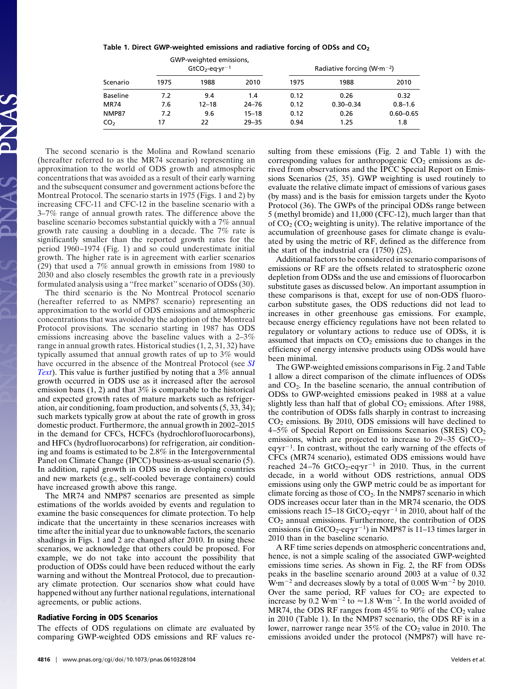|  |  | Table 1. Direct GWP-weighted emissions and radiative forcing of ODSs and $CO2$ |  |  |  |  |
|--|--|--------------------------------------------------------------------------------|--|--|--|--|
|--|--|--------------------------------------------------------------------------------|--|--|--|--|

| Scenario        |      | GWP-weighted emissions,<br>$GtCO2$ -eq·yr <sup>-1</sup> |           | Radiative forcing (W $\cdot$ m $^{-2}$ ) |               |               |  |
|-----------------|------|---------------------------------------------------------|-----------|------------------------------------------|---------------|---------------|--|
|                 | 1975 | 1988                                                    | 2010      | 1975                                     | 1988          | 2010          |  |
| <b>Baseline</b> | 7.2  | 9.4                                                     | 1.4       | 0.12                                     | 0.26          | 0.32          |  |
| <b>MR74</b>     | 7.6  | $12 - 18$                                               | $24 - 76$ | 0.12                                     | $0.30 - 0.34$ | $0.8 - 1.6$   |  |
| <b>NMP87</b>    | 7.2  | 9.6                                                     | $15 - 18$ | 0.12                                     | 0.26          | $0.60 - 0.65$ |  |
| CO <sub>2</sub> | 17   | 22                                                      | $29 - 35$ | 0.94                                     | 1.25          | 1.8           |  |

The second scenario is the Molina and Rowland scenario (hereafter referred to as the MR74 scenario) representing an approximation to the world of ODS growth and atmospheric concentrations that was avoided as a result of their early warning and the subsequent consumer and government actions before the Montreal Protocol. The scenario starts in 1975 (Figs. 1 and 2) by increasing CFC-11 and CFC-12 in the baseline scenario with a 3–7% range of annual growth rates. The difference above the baseline scenario becomes substantial quickly with a 7% annual growth rate causing a doubling in a decade. The 7% rate is significantly smaller than the reported growth rates for the period 1960–1974 (Fig. 1) and so could underestimate initial growth. The higher rate is in agreement with earlier scenarios (29) that used a 7% annual growth in emissions from 1980 to 2030 and also closely resembles the growth rate in a previously formulated analysis using a ''free market'' scenario of ODSs (30).

The third scenario is the No Montreal Protocol scenario (hereafter referred to as NMP87 scenario) representing an approximation to the world of ODS emissions and atmospheric concentrations that was avoided by the adoption of the Montreal Protocol provisions. The scenario starting in 1987 has ODS emissions increasing above the baseline values with a 2–3% range in annual growth rates. Historical studies (1, 2, 31, 32) have typically assumed that annual growth rates of up to 3% would have occurred in the absence of the Montreal Protocol (see *[SI](http://www.pnas.org/cgi/content/full/0610328104/DC1) [Text](http://www.pnas.org/cgi/content/full/0610328104/DC1)*). This value is further justified by noting that a 3% annual growth occurred in ODS use as it increased after the aerosol emission bans  $(1, 2)$  and that  $3\%$  is comparable to the historical and expected growth rates of mature markets such as refrigeration, air conditioning, foam production, and solvents (5, 33, 34); such markets typically grow at about the rate of growth in gross domestic product. Furthermore, the annual growth in 2002–2015 in the demand for CFCs, HCFCs (hydrochlorofluorocarbons), and HFCs (hydrofluorocarbons) for refrigeration, air conditioning and foams is estimated to be 2.8% in the Intergovernmental Panel on Climate Change (IPCC) business-as-usual scenario (5). In addition, rapid growth in ODS use in developing countries and new markets (e.g., self-cooled beverage containers) could have increased growth above this range.

The MR74 and NMP87 scenarios are presented as simple estimations of the worlds avoided by events and regulation to examine the basic consequences for climate protection. To help indicate that the uncertainty in these scenarios increases with time after the initial year due to unknowable factors, the scenario shadings in Figs. 1 and 2 are changed after 2010. In using these scenarios, we acknowledge that others could be proposed. For example, we do not take into account the possibility that production of ODSs could have been reduced without the early warning and without the Montreal Protocol, due to precautionary climate protection. Our scenarios show what could have happened without any further national regulations, international agreements, or public actions.

# **Radiative Forcing in ODS Scenarios**

The effects of ODS regulations on climate are evaluated by comparing GWP-weighted ODS emissions and RF values resulting from these emissions (Fig. 2 and Table 1) with the corresponding values for anthropogenic  $CO<sub>2</sub>$  emissions as derived from observations and the IPCC Special Report on Emissions Scenarios (25, 35). GWP weighting is used routinely to evaluate the relative climate impact of emissions of various gases (by mass) and is the basis for emission targets under the Kyoto Protocol (36). The GWPs of the principal ODSs range between 5 (methyl bromide) and 11,000 (CFC-12), much larger than that of  $CO<sub>2</sub> (CO<sub>2</sub> weighting is unity).$  The relative importance of the accumulation of greenhouse gases for climate change is evaluated by using the metric of RF, defined as the difference from the start of the industrial era (1750) (25).

Additional factors to be considered in scenario comparisons of emissions or RF are the offsets related to stratospheric ozone depletion from ODSs and the use and emissions of fluorocarbon substitute gases as discussed below. An important assumption in these comparisons is that, except for use of non-ODS fluorocarbon substitute gases, the ODS reductions did not lead to increases in other greenhouse gas emissions. For example, because energy efficiency regulations have not been related to regulatory or voluntary actions to reduce use of ODSs, it is assumed that impacts on  $CO<sub>2</sub>$  emissions due to changes in the efficiency of energy intensive products using ODSs would have been minimal.

The GWP-weighted emissions comparisons in Fig. 2 and Table 1 allow a direct comparison of the climate influences of ODSs and CO2. In the baseline scenario, the annual contribution of ODSs to GWP-weighted emissions peaked in 1988 at a value slightly less than half that of global  $CO<sub>2</sub>$  emissions. After 1988, the contribution of ODSs falls sharply in contrast to increasing  $CO<sub>2</sub>$  emissions. By 2010, ODS emissions will have declined to 4–5% of Special Report on Emissions Scenarios (SRES)  $CO<sub>2</sub>$ emissions, which are projected to increase to  $29-35$  GtCO<sub>2</sub> $eqyr^{-1}$ . In contrast, without the early warning of the effects of CFCs (MR74 scenario), estimated ODS emissions would have reached  $24-76$  GtCO<sub>2</sub>-eq·yr<sup>-1</sup> in 2010. Thus, in the current decade, in a world without ODS restrictions, annual ODS emissions using only the GWP metric could be as important for climate forcing as those of  $CO<sub>2</sub>$ . In the NMP87 scenario in which ODS increases occur later than in the MR74 scenario, the ODS emissions reach  $15-18 \text{ GtCO}_2$ -eq·yr<sup>-1</sup> in 2010, about half of the  $CO<sub>2</sub>$  annual emissions. Furthermore, the contribution of ODS emissions (in  $GtCO_2$ -eq·yr<sup>-1</sup>) in NMP87 is 11-13 times larger in 2010 than in the baseline scenario.

A RF time series depends on atmospheric concentrations and, hence, is not a simple scaling of the associated GWP-weighted emissions time series. As shown in Fig. 2, the RF from ODSs peaks in the baseline scenario around 2003 at a value of 0.32  $W \cdot m^{-2}$  and decreases slowly by a total of 0.005  $W \cdot m^{-2}$  by 2010. Over the same period, RF values for  $CO<sub>2</sub>$  are expected to increase by 0.2  $\text{W}\cdot\text{m}^{-2}$  to  $\approx 1.8 \text{ W}\cdot\text{m}^{-2}$ . In the world avoided of MR74, the ODS RF ranges from  $45\%$  to 90% of the CO<sub>2</sub> value in 2010 (Table 1). In the NMP87 scenario, the ODS RF is in a lower, narrower range near 35% of the CO<sub>2</sub> value in 2010. The emissions avoided under the protocol (NMP87) will have re-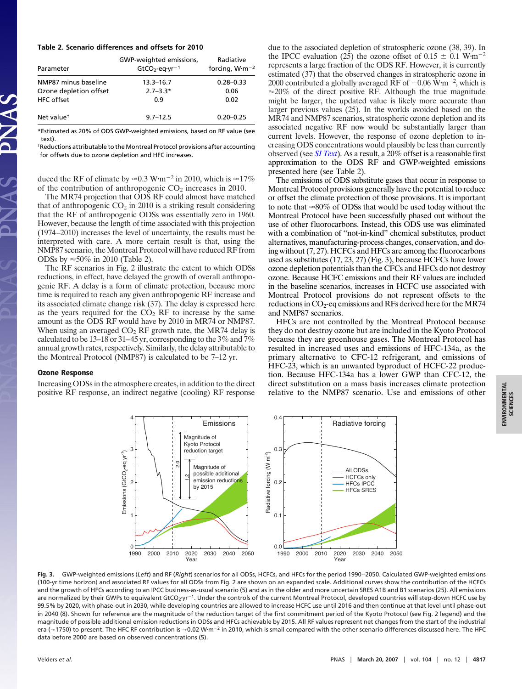#### **Table 2. Scenario differences and offsets for 2010**

| Parameter              | GWP-weighted emissions,<br>$GtCO2$ -eq·yr <sup>-1</sup> | Radiative<br>forcing, $W·m-2$ |
|------------------------|---------------------------------------------------------|-------------------------------|
| NMP87 minus baseline   | $13.3 - 16.7$                                           | $0.28 - 0.33$                 |
| Ozone depletion offset | $2.7 - 3.3*$                                            | 0.06                          |
| HFC offset             | 0.9                                                     | 0.02                          |
| Net value <sup>+</sup> | $9.7 - 12.5$                                            | $0.20 - 0.25$                 |

\*Estimated as 20% of ODS GWP-weighted emissions, based on RF value (see text).

†Reductions attributable to the Montreal Protocol provisions after accounting for offsets due to ozone depletion and HFC increases.

duced the RF of climate by  $\approx 0.3$  W·m<sup>-2</sup> in 2010, which is  $\approx 17\%$ of the contribution of anthropogenic  $CO<sub>2</sub>$  increases in 2010.

The MR74 projection that ODS RF could almost have matched that of anthropogenic  $CO<sub>2</sub>$  in 2010 is a striking result considering that the RF of anthropogenic ODSs was essentially zero in 1960. However, because the length of time associated with this projection (1974–2010) increases the level of uncertainty, the results must be interpreted with care. A more certain result is that, using the NMP87 scenario, the Montreal Protocol will have reduced RF from ODSs by  $\approx 50\%$  in 2010 (Table 2).

The RF scenarios in Fig. 2 illustrate the extent to which ODSs reductions, in effect, have delayed the growth of overall anthropogenic RF. A delay is a form of climate protection, because more time is required to reach any given anthropogenic RF increase and its associated climate change risk (37). The delay is expressed here as the years required for the  $CO<sub>2</sub>$  RF to increase by the same amount as the ODS RF would have by 2010 in MR74 or NMP87. When using an averaged  $CO<sub>2</sub>$  RF growth rate, the MR74 delay is calculated to be 13–18 or 31–45 yr, corresponding to the 3% and 7% annual growth rates, respectively. Similarly, the delay attributable to the Montreal Protocol (NMP87) is calculated to be 7–12 yr.

#### **Ozone Response**

Increasing ODSs in the atmosphere creates, in addition to the direct positive RF response, an indirect negative (cooling) RF response due to the associated depletion of stratospheric ozone (38, 39). In the IPCC evaluation (25) the ozone offset of  $0.15 \pm 0.1$  W·m<sup>-2</sup> represents a large fraction of the ODS RF. However, it is currently estimated (37) that the observed changes in stratospheric ozone in 2000 contributed a globally averaged RF of  $-0.06 \,\mathrm{W} \cdot \mathrm{m}^{-2}$ , which is  $\approx$  20% of the direct positive RF. Although the true magnitude might be larger, the updated value is likely more accurate than larger previous values (25). In the worlds avoided based on the MR74 and NMP87 scenarios, stratospheric ozone depletion and its associated negative RF now would be substantially larger than current levels. However, the response of ozone depletion to increasing ODS concentrations would plausibly be less than currently observed (see *[SI Text](http://www.pnas.org/cgi/content/full/0610328104/DC1)*). As a result, a 20% offset is a reasonable first approximation to the ODS RF and GWP-weighted emissions presented here (see Table 2).

The emissions of ODS substitute gases that occur in response to Montreal Protocol provisions generally have the potential to reduce or offset the climate protection of those provisions. It is important to note that  $\approx 80\%$  of ODSs that would be used today without the Montreal Protocol have been successfully phased out without the use of other fluorocarbons. Instead, this ODS use was eliminated with a combination of ''not-in-kind'' chemical substitutes, product alternatives, manufacturing-process changes, conservation, and doing without (7, 27). HCFCs and HFCs are among the fluorocarbons used as substitutes (17, 23, 27) (Fig. 3), because HCFCs have lower ozone depletion potentials than the CFCs and HFCs do not destroy ozone. Because HCFC emissions and their RF values are included in the baseline scenarios, increases in HCFC use associated with Montreal Protocol provisions do not represent offsets to the reductions in CO<sub>2</sub>-eq emissions and RFs derived here for the MR74 and NMP87 scenarios.

HFCs are not controlled by the Montreal Protocol because they do not destroy ozone but are included in the Kyoto Protocol because they are greenhouse gases. The Montreal Protocol has resulted in increased uses and emissions of HFC-134a, as the primary alternative to CFC-12 refrigerant, and emissions of HFC-23, which is an unwanted byproduct of HCFC-22 production. Because HFC-134a has a lower GWP than CFC-12, the direct substitution on a mass basis increases climate protection relative to the NMP87 scenario. Use and emissions of other



**Fig. 3.** GWP-weighted emissions (*Left*) and RF (*Right*) scenarios for all ODSs, HCFCs, and HFCs for the period 1990–2050. Calculated GWP-weighted emissions (100-yr time horizon) and associated RF values for all ODSs from Fig. 2 are shown on an expanded scale. Additional curves show the contribution of the HCFCs and the growth of HFCs according to an IPCC business-as-usual scenario (5) and as in the older and more uncertain SRES A1B and B1 scenarios (25). All emissions are normalized by their GWPs to equivalent GtCO<sub>2</sub>·yr<sup>-1</sup>. Under the controls of the current Montreal Protocol, developed countries will step-down HCFC use by 99.5% by 2020, with phase-out in 2030, while developing countries are allowed to increase HCFC use until 2016 and then continue at that level until phase-out in 2040 (8). Shown for reference are the magnitude of the reduction target of the first commitment period of the Kyoto Protocol (see Fig. 2 legend) and the magnitude of possible additional emission reductions in ODSs and HFCs achievable by 2015. All RF values represent net changes from the start of the industrial era (≈1750) to present. The HFC RF contribution is ≈0.02 W·m<sup>-2</sup> in 2010, which is small compared with the other scenario differences discussed here. The HFC data before 2000 are based on observed concentrations (5).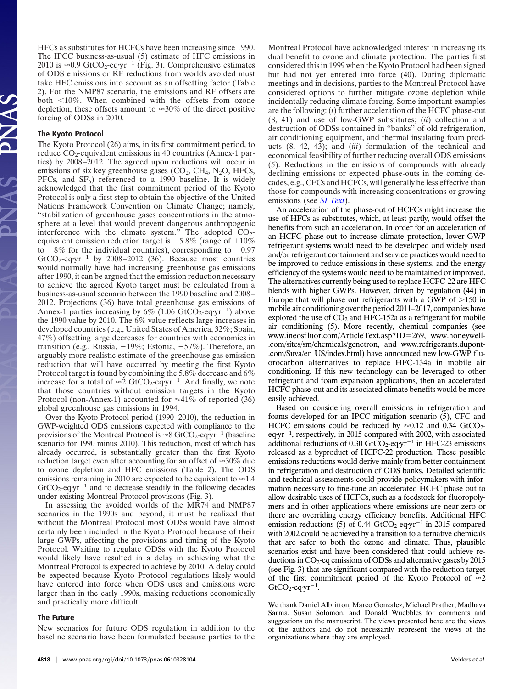HFCs as substitutes for HCFCs have been increasing since 1990. The IPCC business-as-usual (5) estimate of HFC emissions in 2010 is  $\approx 0.9$  GtCO<sub>2</sub>-eq·yr<sup>-1</sup> (Fig. 3). Comprehensive estimates of ODS emissions or RF reductions from worlds avoided must take HFC emissions into account as an offsetting factor (Table 2). For the NMP87 scenario, the emissions and RF offsets are both  $10\%$ . When combined with the offsets from ozone depletion, these offsets amount to  $\approx 30\%$  of the direct positive forcing of ODSs in 2010.

## **The Kyoto Protocol**

The Kyoto Protocol (26) aims, in its first commitment period, to reduce  $CO_2$ -equivalent emissions in 40 countries (Annex-1 parties) by 2008–2012. The agreed upon reductions will occur in emissions of six key greenhouse gases  $(CO<sub>2</sub>, CH<sub>4</sub>, N<sub>2</sub>O, HFCs,$ PFCs, and  $SF<sub>6</sub>$ ) referenced to a 1990 baseline. It is widely acknowledged that the first commitment period of the Kyoto Protocol is only a first step to obtain the objective of the United Nations Framework Convention on Climate Change; namely, ''stabilization of greenhouse gases concentrations in the atmosphere at a level that would prevent dangerous anthropogenic interference with the climate system." The adopted  $CO<sub>2</sub>$ equivalent emission reduction target is  $-5.8\%$  (range of  $+10\%$ to  $-8\%$  for the individual countries), corresponding to  $-0.97$  $GtCO_2$ -eq·yr<sup>-1</sup> by 2008-2012 (36). Because most countries would normally have had increasing greenhouse gas emissions after 1990, it can be argued that the emission reduction necessary to achieve the agreed Kyoto target must be calculated from a business-as-usual scenario between the 1990 baseline and 2008– 2012. Projections (36) have total greenhouse gas emissions of Annex-1 parties increasing by  $6\%$  (1.06 GtCO<sub>2</sub>-eq·yr<sup>-1</sup>) above the 1990 value by 2010. The 6% value reflects large increases in developed countries (e.g., United States of America, 32%; Spain, 47%) offsetting large decreases for countries with economies in transition (e.g., Russia, -19%; Estonia, -57%). Therefore, an arguably more realistic estimate of the greenhouse gas emission reduction that will have occurred by meeting the first Kyoto Protocol target is found by combining the 5.8% decrease and 6% increase for a total of  $\approx 2$  GtCO<sub>2</sub>-eq·yr<sup>-1</sup>. And finally, we note that those countries without emission targets in the Kyoto Protocol (non-Annex-1) accounted for  $\approx 41\%$  of reported (36) global greenhouse gas emissions in 1994.

Over the Kyoto Protocol period (1990–2010), the reduction in GWP-weighted ODS emissions expected with compliance to the provisions of the Montreal Protocol is  $\approx 8$  GtCO<sub>2</sub>-eq-yr<sup>-1</sup> (baseline scenario for 1990 minus 2010). This reduction, most of which has already occurred, is substantially greater than the first Kyoto reduction target even after accounting for an offset of  $\approx 30\%$  due to ozone depletion and HFC emissions (Table 2). The ODS emissions remaining in 2010 are expected to be equivalent to  $\approx 1.4$  $GtCO<sub>2</sub>$ -eq·yr<sup>-1</sup> and to decrease steadily in the following decades under existing Montreal Protocol provisions (Fig. 3).

In assessing the avoided worlds of the MR74 and NMP87 scenarios in the 1990s and beyond, it must be realized that without the Montreal Protocol most ODSs would have almost certainly been included in the Kyoto Protocol because of their large GWPs, affecting the provisions and timing of the Kyoto Protocol. Waiting to regulate ODSs with the Kyoto Protocol would likely have resulted in a delay in achieving what the Montreal Protocol is expected to achieve by 2010. A delay could be expected because Kyoto Protocol regulations likely would have entered into force when ODS uses and emissions were larger than in the early 1990s, making reductions economically and practically more difficult.

## **The Future**

New scenarios for future ODS regulation in addition to the baseline scenario have been formulated because parties to the Montreal Protocol have acknowledged interest in increasing its dual benefit to ozone and climate protection. The parties first considered this in 1999 when the Kyoto Protocol had been signed but had not yet entered into force (40). During diplomatic meetings and in decisions, parties to the Montreal Protocol have considered options to further mitigate ozone depletion while incidentally reducing climate forcing. Some important examples are the following: (*i*) further acceleration of the HCFC phase-out (8, 41) and use of low-GWP substitutes; (*ii*) collection and destruction of ODSs contained in ''banks'' of old refrigeration, air conditioning equipment, and thermal insulating foam products (8, 42, 43); and (*iii*) formulation of the technical and economical feasibility of further reducing overall ODS emissions (5). Reductions in the emissions of compounds with already declining emissions or expected phase-outs in the coming decades, e.g., CFCs and HCFCs, will generally be less effective than those for compounds with increasing concentrations or growing emissions (see *[SI Text](http://www.pnas.org/cgi/content/full/0610328104/DC1)*).

An acceleration of the phase-out of HCFCs might increase the use of HFCs as substitutes, which, at least partly, would offset the benefits from such an acceleration. In order for an acceleration of an HCFC phase-out to increase climate protection, lower-GWP refrigerant systems would need to be developed and widely used and/or refrigerant containment and service practices would need to be improved to reduce emissions in these systems, and the energy efficiency of the systems would need to be maintained or improved. The alternatives currently being used to replace HCFC-22 are HFC blends with higher GWPs. However, driven by regulation (44) in Europe that will phase out refrigerants with a GWP of  $>150$  in mobile air conditioning over the period 2011–2017, companies have explored the use of  $CO<sub>2</sub>$  and HFC-152a as a refrigerant for mobile air conditioning (5). More recently, chemical companies (see www.ineosfluor.com/ArticleText.asp?ID=269, www.honeywell-.com/sites/sm/chemicals/genetron, and www.refrigerants.dupont- .com/Suva/en-US/index.html) have announced new low-GWP fluorocarbon alternatives to replace HFC-134a in mobile air conditioning. If this new technology can be leveraged to other refrigerant and foam expansion applications, then an accelerated HCFC phase-out and its associated climate benefits would be more easily achieved.

Based on considering overall emissions in refrigeration and foams developed for an IPCC mitigation scenario (5), CFC and HCFC emissions could be reduced by  $\approx 0.12$  and 0.34 GtCO<sub>2</sub>eqyr-1 , respectively, in 2015 compared with 2002, with associated additional reductions of 0.30 GtCO<sub>2</sub>-eq·yr<sup>-1</sup> in HFC-23 emissions released as a byproduct of HCFC-22 production. These possible emissions reductions would derive mainly from better containment in refrigeration and destruction of ODS banks. Detailed scientific and technical assessments could provide policymakers with information necessary to fine-tune an accelerated HCFC phase out to allow desirable uses of HCFCs, such as a feedstock for fluoropolymers and in other applications where emissions are near zero or there are overriding energy efficiency benefits. Additional HFC emission reductions (5) of 0.44  $GtCO_2$ -eq·yr<sup>-1</sup> in 2015 compared with 2002 could be achieved by a transition to alternative chemicals that are safer to both the ozone and climate. Thus, plausible scenarios exist and have been considered that could achieve reductions in  $CO<sub>2</sub>$ -eq emissions of ODSs and alternative gases by 2015 (see Fig. 3) that are significant compared with the reduction target of the first commitment period of the Kyoto Protocol of  $\approx 2$  $GtCO_2$ -eq·yr<sup>-1</sup>.

We thank Daniel Albritton, Marco Gonzalez, Michael Prather, Madhava Sarma, Susan Solomon, and Donald Wuebbles for comments and suggestions on the manuscript. The views presented here are the views of the authors and do not necessarily represent the views of the organizations where they are employed.